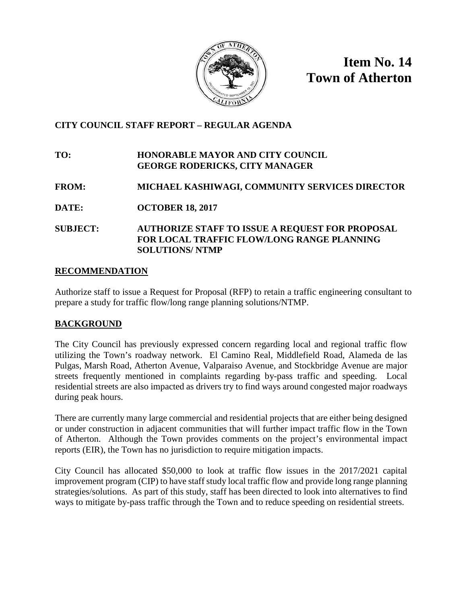

**Item No. 14 Town of Atherton**

## **CITY COUNCIL STAFF REPORT – REGULAR AGENDA**

## **TO: HONORABLE MAYOR AND CITY COUNCIL GEORGE RODERICKS, CITY MANAGER**

- **FROM: MICHAEL KASHIWAGI, COMMUNITY SERVICES DIRECTOR**
- **DATE: OCTOBER 18, 2017**
- **SUBJECT: AUTHORIZE STAFF TO ISSUE A REQUEST FOR PROPOSAL FOR LOCAL TRAFFIC FLOW/LONG RANGE PLANNING SOLUTIONS/ NTMP**

## **RECOMMENDATION**

Authorize staff to issue a Request for Proposal (RFP) to retain a traffic engineering consultant to prepare a study for traffic flow/long range planning solutions/NTMP.

## **BACKGROUND**

The City Council has previously expressed concern regarding local and regional traffic flow utilizing the Town's roadway network. El Camino Real, Middlefield Road, Alameda de las Pulgas, Marsh Road, Atherton Avenue, Valparaiso Avenue, and Stockbridge Avenue are major streets frequently mentioned in complaints regarding by-pass traffic and speeding. Local residential streets are also impacted as drivers try to find ways around congested major roadways during peak hours.

There are currently many large commercial and residential projects that are either being designed or under construction in adjacent communities that will further impact traffic flow in the Town of Atherton. Although the Town provides comments on the project's environmental impact reports (EIR), the Town has no jurisdiction to require mitigation impacts.

City Council has allocated \$50,000 to look at traffic flow issues in the 2017/2021 capital improvement program (CIP) to have staff study local traffic flow and provide long range planning strategies/solutions. As part of this study, staff has been directed to look into alternatives to find ways to mitigate by-pass traffic through the Town and to reduce speeding on residential streets.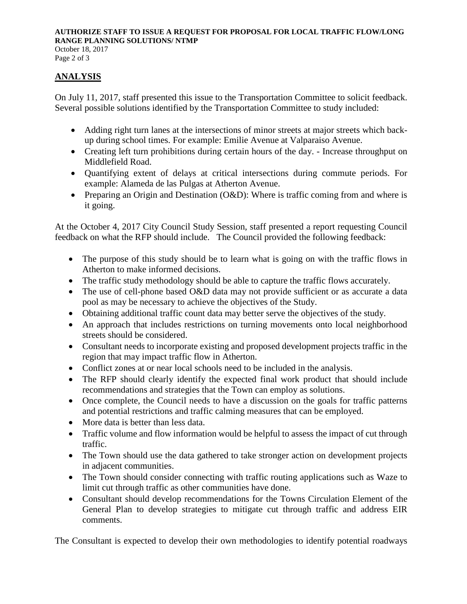#### **AUTHORIZE STAFF TO ISSUE A REQUEST FOR PROPOSAL FOR LOCAL TRAFFIC FLOW/LONG RANGE PLANNING SOLUTIONS/ NTMP** October 18, 2017

Page 2 of 3

## **ANALYSIS**

On July 11, 2017, staff presented this issue to the Transportation Committee to solicit feedback. Several possible solutions identified by the Transportation Committee to study included:

- Adding right turn lanes at the intersections of minor streets at major streets which backup during school times. For example: Emilie Avenue at Valparaiso Avenue.
- Creating left turn prohibitions during certain hours of the day. Increase throughput on Middlefield Road.
- Quantifying extent of delays at critical intersections during commute periods. For example: Alameda de las Pulgas at Atherton Avenue.
- Preparing an Origin and Destination (O&D): Where is traffic coming from and where is it going.

At the October 4, 2017 City Council Study Session, staff presented a report requesting Council feedback on what the RFP should include. The Council provided the following feedback:

- The purpose of this study should be to learn what is going on with the traffic flows in Atherton to make informed decisions.
- The traffic study methodology should be able to capture the traffic flows accurately.
- The use of cell-phone based O&D data may not provide sufficient or as accurate a data pool as may be necessary to achieve the objectives of the Study.
- Obtaining additional traffic count data may better serve the objectives of the study.
- An approach that includes restrictions on turning movements onto local neighborhood streets should be considered.
- Consultant needs to incorporate existing and proposed development projects traffic in the region that may impact traffic flow in Atherton.
- Conflict zones at or near local schools need to be included in the analysis.
- The RFP should clearly identify the expected final work product that should include recommendations and strategies that the Town can employ as solutions.
- Once complete, the Council needs to have a discussion on the goals for traffic patterns and potential restrictions and traffic calming measures that can be employed.
- More data is better than less data.
- Traffic volume and flow information would be helpful to assess the impact of cut through traffic.
- The Town should use the data gathered to take stronger action on development projects in adjacent communities.
- The Town should consider connecting with traffic routing applications such as Waze to limit cut through traffic as other communities have done.
- Consultant should develop recommendations for the Towns Circulation Element of the General Plan to develop strategies to mitigate cut through traffic and address EIR comments.

The Consultant is expected to develop their own methodologies to identify potential roadways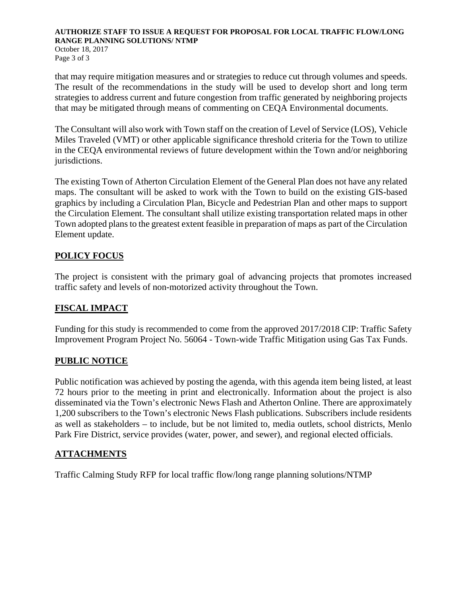#### **AUTHORIZE STAFF TO ISSUE A REQUEST FOR PROPOSAL FOR LOCAL TRAFFIC FLOW/LONG RANGE PLANNING SOLUTIONS/ NTMP** October 18, 2017 Page 3 of 3

that may require mitigation measures and or strategies to reduce cut through volumes and speeds. The result of the recommendations in the study will be used to develop short and long term strategies to address current and future congestion from traffic generated by neighboring projects that may be mitigated through means of commenting on CEQA Environmental documents.

The Consultant will also work with Town staff on the creation of Level of Service (LOS), Vehicle Miles Traveled (VMT) or other applicable significance threshold criteria for the Town to utilize in the CEQA environmental reviews of future development within the Town and/or neighboring jurisdictions.

The existing Town of Atherton Circulation Element of the General Plan does not have any related maps. The consultant will be asked to work with the Town to build on the existing GIS-based graphics by including a Circulation Plan, Bicycle and Pedestrian Plan and other maps to support the Circulation Element. The consultant shall utilize existing transportation related maps in other Town adopted plans to the greatest extent feasible in preparation of maps as part of the Circulation Element update.

## **POLICY FOCUS**

The project is consistent with the primary goal of advancing projects that promotes increased traffic safety and levels of non-motorized activity throughout the Town.

## **FISCAL IMPACT**

Funding for this study is recommended to come from the approved 2017/2018 CIP: Traffic Safety Improvement Program Project No. 56064 - Town-wide Traffic Mitigation using Gas Tax Funds.

## **PUBLIC NOTICE**

Public notification was achieved by posting the agenda, with this agenda item being listed, at least 72 hours prior to the meeting in print and electronically. Information about the project is also disseminated via the Town's electronic News Flash and Atherton Online. There are approximately 1,200 subscribers to the Town's electronic News Flash publications. Subscribers include residents as well as stakeholders – to include, but be not limited to, media outlets, school districts, Menlo Park Fire District, service provides (water, power, and sewer), and regional elected officials.

## **ATTACHMENTS**

Traffic Calming Study RFP for local traffic flow/long range planning solutions/NTMP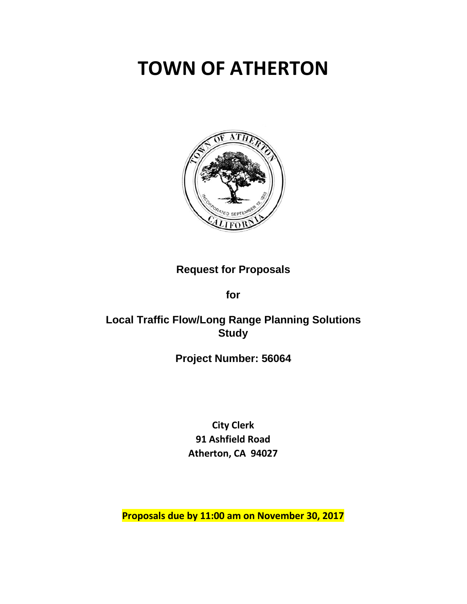# **TOWN OF ATHERTON**



## **Request for Proposals**

**for**

# **Local Traffic Flow/Long Range Planning Solutions Study**

# **Project Number: 56064**

**City Clerk 91 Ashfield Road Atherton, CA 94027**

**Proposals due by 11:00 am on November 30, 2017**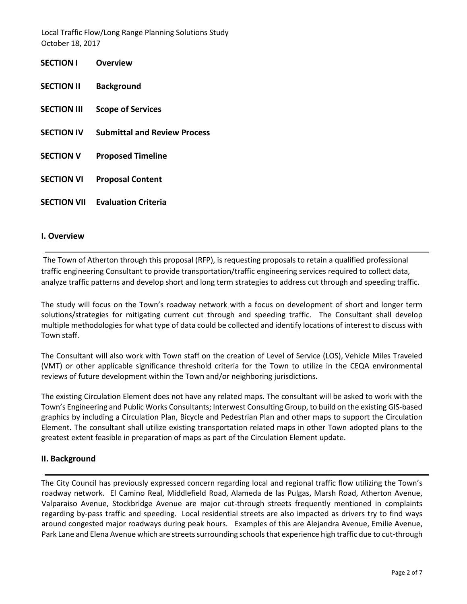| <b>SECTION I</b>   | Overview                            |
|--------------------|-------------------------------------|
| <b>SECTION II</b>  | <b>Background</b>                   |
| <b>SECTION III</b> | <b>Scope of Services</b>            |
| <b>SECTION IV</b>  | <b>Submittal and Review Process</b> |
| <b>SECTION V</b>   | <b>Proposed Timeline</b>            |
| <b>SECTION VI</b>  | <b>Proposal Content</b>             |
| <b>SECTION VII</b> | <b>Evaluation Criteria</b>          |

#### **I. Overview**

The Town of Atherton through this proposal (RFP), is requesting proposals to retain a qualified professional traffic engineering Consultant to provide transportation/traffic engineering services required to collect data, analyze traffic patterns and develop short and long term strategies to address cut through and speeding traffic.

The study will focus on the Town's roadway network with a focus on development of short and longer term solutions/strategies for mitigating current cut through and speeding traffic. The Consultant shall develop multiple methodologies for what type of data could be collected and identify locations of interest to discuss with Town staff.

The Consultant will also work with Town staff on the creation of Level of Service (LOS), Vehicle Miles Traveled (VMT) or other applicable significance threshold criteria for the Town to utilize in the CEQA environmental reviews of future development within the Town and/or neighboring jurisdictions.

The existing Circulation Element does not have any related maps. The consultant will be asked to work with the Town's Engineering and Public Works Consultants; Interwest Consulting Group, to build on the existing GIS-based graphics by including a Circulation Plan, Bicycle and Pedestrian Plan and other maps to support the Circulation Element. The consultant shall utilize existing transportation related maps in other Town adopted plans to the greatest extent feasible in preparation of maps as part of the Circulation Element update.

#### **II. Background**

The City Council has previously expressed concern regarding local and regional traffic flow utilizing the Town's roadway network. El Camino Real, Middlefield Road, Alameda de las Pulgas, Marsh Road, Atherton Avenue, Valparaiso Avenue, Stockbridge Avenue are major cut-through streets frequently mentioned in complaints regarding by-pass traffic and speeding. Local residential streets are also impacted as drivers try to find ways around congested major roadways during peak hours. Examples of this are Alejandra Avenue, Emilie Avenue, Park Lane and Elena Avenue which are streets surrounding schools that experience high traffic due to cut-through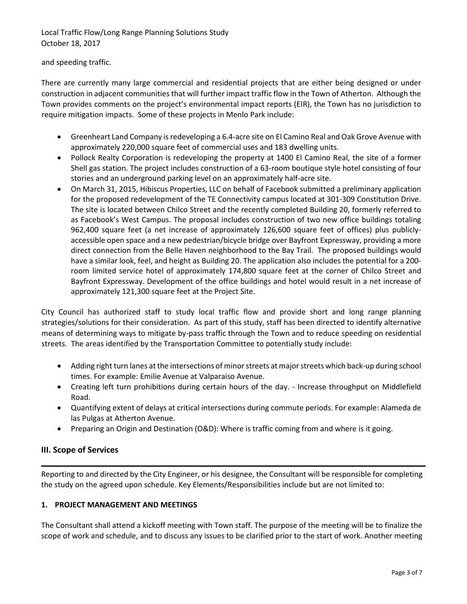and speeding traffic.

There are currently many large commercial and residential projects that are either being designed or under construction in adjacent communities that will further impact traffic flow in the Town of Atherton. Although the Town provides comments on the project's environmental impact reports (EIR), the Town has no jurisdiction to require mitigation impacts. Some of these projects in Menlo Park include:

- Greenheart Land Company is redeveloping a 6.4-acre site on El Camino Real and Oak Grove Avenue with approximately 220,000 square feet of commercial uses and 183 dwelling units.
- Pollock Realty Corporation is redeveloping the property at 1400 El Camino Real, the site of a former Shell gas station. The project includes construction of a 63-room boutique style hotel consisting of four stories and an underground parking level on an approximately half-acre site.
- On March 31, 2015, Hibiscus Properties, LLC on behalf of Facebook submitted a preliminary application for the proposed redevelopment of the TE Connectivity campus located at 301-309 Constitution Drive. The site is located between Chilco Street and the recently completed Building 20, formerly referred to as Facebook's West Campus. The proposal includes construction of two new office buildings totaling 962,400 square feet (a net increase of approximately 126,600 square feet of offices) plus publiclyaccessible open space and a new pedestrian/bicycle bridge over Bayfront Expressway, providing a more direct connection from the Belle Haven neighborhood to the Bay Trail. The proposed buildings would have a similar look, feel, and height as Building 20. The application also includes the potential for a 200 room limited service hotel of approximately 174,800 square feet at the corner of Chilco Street and Bayfront Expressway. Development of the office buildings and hotel would result in a net increase of approximately 121,300 square feet at the Project Site.

City Council has authorized staff to study local traffic flow and provide short and long range planning strategies/solutions for their consideration. As part of this study, staff has been directed to identify alternative means of determining ways to mitigate by-pass traffic through the Town and to reduce speeding on residential streets. The areas identified by the Transportation Committee to potentially study include:

- Adding right turn lanes at the intersections of minor streets at major streets which back-up during school times. For example: Emilie Avenue at Valparaiso Avenue.
- Creating left turn prohibitions during certain hours of the day. Increase throughput on Middlefield Road.
- Quantifying extent of delays at critical intersections during commute periods. For example: Alameda de las Pulgas at Atherton Avenue.
- Preparing an Origin and Destination (O&D): Where is traffic coming from and where is it going.

## **III. Scope of Services**

Reporting to and directed by the City Engineer, or his designee, the Consultant will be responsible for completing the study on the agreed upon schedule. Key Elements/Responsibilities include but are not limited to:

## **1. PROJECT MANAGEMENT AND MEETINGS**

The Consultant shall attend a kickoff meeting with Town staff. The purpose of the meeting will be to finalize the scope of work and schedule, and to discuss any issues to be clarified prior to the start of work. Another meeting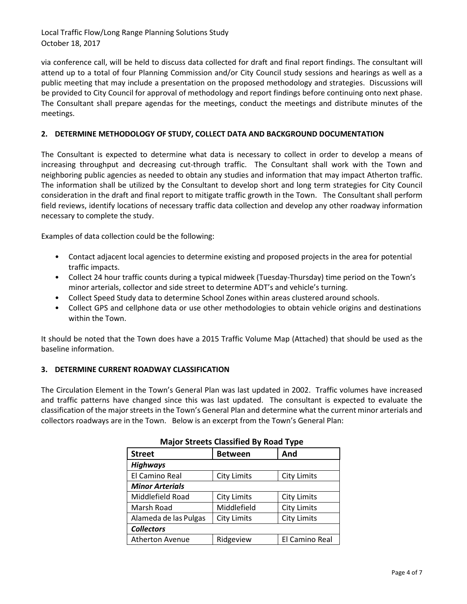via conference call, will be held to discuss data collected for draft and final report findings. The consultant will attend up to a total of four Planning Commission and/or City Council study sessions and hearings as well as a public meeting that may include a presentation on the proposed methodology and strategies. Discussions will be provided to City Council for approval of methodology and report findings before continuing onto next phase. The Consultant shall prepare agendas for the meetings, conduct the meetings and distribute minutes of the meetings.

#### **2. DETERMINE METHODOLOGY OF STUDY, COLLECT DATA AND BACKGROUND DOCUMENTATION**

The Consultant is expected to determine what data is necessary to collect in order to develop a means of increasing throughput and decreasing cut-through traffic. The Consultant shall work with the Town and neighboring public agencies as needed to obtain any studies and information that may impact Atherton traffic. The information shall be utilized by the Consultant to develop short and long term strategies for City Council consideration in the draft and final report to mitigate traffic growth in the Town. The Consultant shall perform field reviews, identify locations of necessary traffic data collection and develop any other roadway information necessary to complete the study.

Examples of data collection could be the following:

- Contact adjacent local agencies to determine existing and proposed projects in the area for potential traffic impacts.
- Collect 24 hour traffic counts during a typical midweek (Tuesday-Thursday) time period on the Town's minor arterials, collector and side street to determine ADT's and vehicle's turning.
- Collect Speed Study data to determine School Zones within areas clustered around schools.
- Collect GPS and cellphone data or use other methodologies to obtain vehicle origins and destinations within the Town.

It should be noted that the Town does have a 2015 Traffic Volume Map (Attached) that should be used as the baseline information.

#### **3. DETERMINE CURRENT ROADWAY CLASSIFICATION**

The Circulation Element in the Town's General Plan was last updated in 2002. Traffic volumes have increased and traffic patterns have changed since this was last updated. The consultant is expected to evaluate the classification of the major streets in the Town's General Plan and determine what the current minor arterials and collectors roadways are in the Town. Below is an excerpt from the Town's General Plan:

| <b>Street</b>          | <b>Between</b>     | And                |  |  |  |  |
|------------------------|--------------------|--------------------|--|--|--|--|
| <b>Highways</b>        |                    |                    |  |  |  |  |
| El Camino Real         | <b>City Limits</b> | <b>City Limits</b> |  |  |  |  |
| <b>Minor Arterials</b> |                    |                    |  |  |  |  |
| Middlefield Road       | <b>City Limits</b> | <b>City Limits</b> |  |  |  |  |
| Marsh Road             | Middlefield        | <b>City Limits</b> |  |  |  |  |
| Alameda de las Pulgas  | <b>City Limits</b> | <b>City Limits</b> |  |  |  |  |
| <b>Collectors</b>      |                    |                    |  |  |  |  |
| <b>Atherton Avenue</b> | Ridgeview          | El Camino Real     |  |  |  |  |

|  |  | <b>Major Streets Classified By Road Type</b> |  |  |  |
|--|--|----------------------------------------------|--|--|--|
|--|--|----------------------------------------------|--|--|--|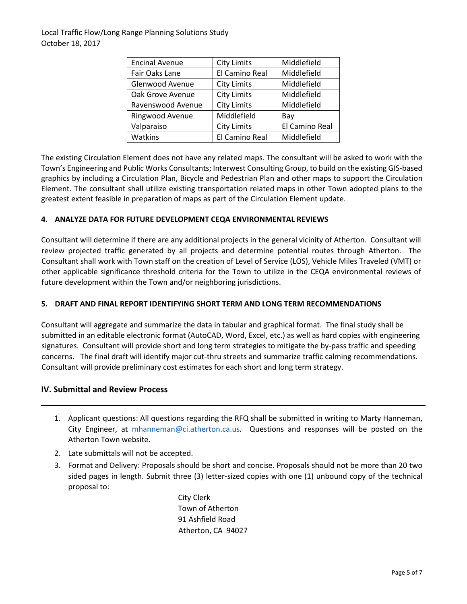| <b>Encinal Avenue</b> | <b>City Limits</b> | Middlefield    |
|-----------------------|--------------------|----------------|
| Fair Oaks Lane        | El Camino Real     | Middlefield    |
| Glenwood Avenue       | <b>City Limits</b> | Middlefield    |
| Oak Grove Avenue      | <b>City Limits</b> | Middlefield    |
| Ravenswood Avenue     | <b>City Limits</b> | Middlefield    |
| Ringwood Avenue       | Middlefield        | Bay            |
| Valparaiso            | <b>City Limits</b> | El Camino Real |
| Watkins               | El Camino Real     | Middlefield    |

The existing Circulation Element does not have any related maps. The consultant will be asked to work with the Town's Engineering and Public Works Consultants; Interwest Consulting Group, to build on the existing GIS-based graphics by including a Circulation Plan, Bicycle and Pedestrian Plan and other maps to support the Circulation Element. The consultant shall utilize existing transportation related maps in other Town adopted plans to the greatest extent feasible in preparation of maps as part of the Circulation Element update.

#### **4. ANALYZE DATA FOR FUTURE DEVELOPMENT CEQA ENVIRONMENTAL REVIEWS**

Consultant will determine if there are any additional projects in the general vicinity of Atherton. Consultant will review projected traffic generated by all projects and determine potential routes through Atherton. The Consultant shall work with Town staff on the creation of Level of Service (LOS), Vehicle Miles Traveled (VMT) or other applicable significance threshold criteria for the Town to utilize in the CEQA environmental reviews of future development within the Town and/or neighboring jurisdictions.

#### **5. DRAFT AND FINAL REPORT IDENTIFYING SHORT TERM AND LONG TERM RECOMMENDATIONS**

Consultant will aggregate and summarize the data in tabular and graphical format. The final study shall be submitted in an editable electronic format (AutoCAD, Word, Excel, etc.) as well as hard copies with engineering signatures. Consultant will provide short and long term strategies to mitigate the by-pass traffic and speeding concerns. The final draft will identify major cut-thru streets and summarize traffic calming recommendations. Consultant will provide preliminary cost estimates for each short and long term strategy.

#### **IV. Submittal and Review Process**

- 1. Applicant questions: All questions regarding the RFQ shall be submitted in writing to Marty Hanneman, City Engineer, at [mhanneman@ci.atherton.ca.us.](mailto:mhanneman@ci.atherton.ca.us) Questions and responses will be posted on the Atherton Town website.
- 2. Late submittals will not be accepted.
- 3. Format and Delivery: Proposals should be short and concise. Proposals should not be more than 20 two sided pages in length. Submit three (3) letter-sized copies with one (1) unbound copy of the technical proposal to:

City Clerk Town of Atherton 91 Ashfield Road Atherton, CA 94027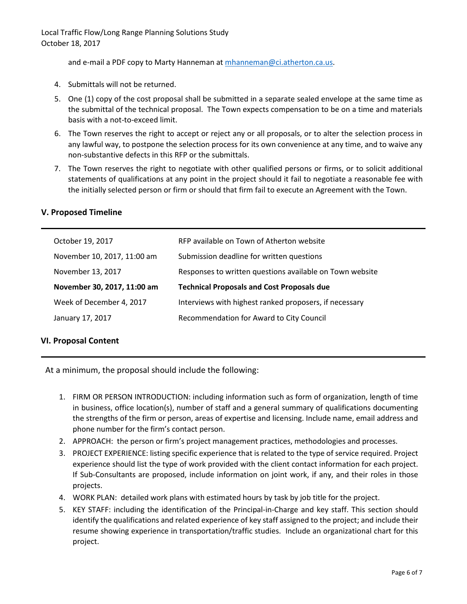and e-mail a PDF copy to Marty Hanneman at [mhanneman@ci.atherton.ca.us.](mailto:mhanneman@ci.atherton.ca.us)

- 4. Submittals will not be returned.
- 5. One (1) copy of the cost proposal shall be submitted in a separate sealed envelope at the same time as the submittal of the technical proposal. The Town expects compensation to be on a time and materials basis with a not-to-exceed limit.
- 6. The Town reserves the right to accept or reject any or all proposals, or to alter the selection process in any lawful way, to postpone the selection process for its own convenience at any time, and to waive any non-substantive defects in this RFP or the submittals.
- 7. The Town reserves the right to negotiate with other qualified persons or firms, or to solicit additional statements of qualifications at any point in the project should it fail to negotiate a reasonable fee with the initially selected person or firm or should that firm fail to execute an Agreement with the Town.

| October 19, 2017            | RFP available on Town of Atherton website                |
|-----------------------------|----------------------------------------------------------|
| November 10, 2017, 11:00 am | Submission deadline for written questions                |
| November 13, 2017           | Responses to written questions available on Town website |
|                             |                                                          |
| November 30, 2017, 11:00 am | <b>Technical Proposals and Cost Proposals due</b>        |
| Week of December 4, 2017    | Interviews with highest ranked proposers, if necessary   |
| January 17, 2017            | Recommendation for Award to City Council                 |

#### **V. Proposed Timeline**

#### **VI. Proposal Content**

At a minimum, the proposal should include the following:

- 1. FIRM OR PERSON INTRODUCTION: including information such as form of organization, length of time in business, office location(s), number of staff and a general summary of qualifications documenting the strengths of the firm or person, areas of expertise and licensing. Include name, email address and phone number for the firm's contact person.
- 2. APPROACH: the person or firm's project management practices, methodologies and processes.
- 3. PROJECT EXPERIENCE: listing specific experience that is related to the type of service required. Project experience should list the type of work provided with the client contact information for each project. If Sub-Consultants are proposed, include information on joint work, if any, and their roles in those projects.
- 4. WORK PLAN: detailed work plans with estimated hours by task by job title for the project.
- 5. KEY STAFF: including the identification of the Principal-in-Charge and key staff. This section should identify the qualifications and related experience of key staff assigned to the project; and include their resume showing experience in transportation/traffic studies. Include an organizational chart for this project.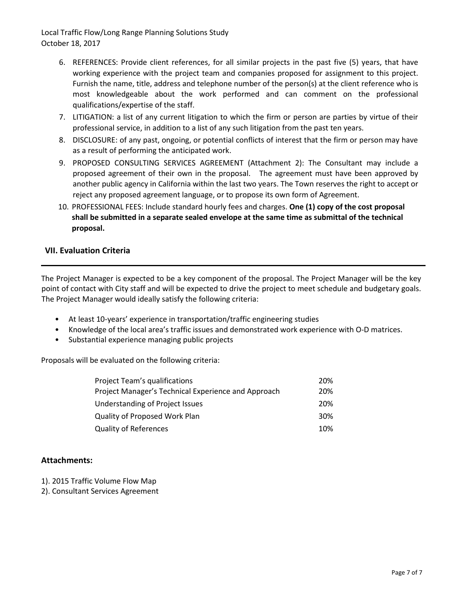- 6. REFERENCES: Provide client references, for all similar projects in the past five (5) years, that have working experience with the project team and companies proposed for assignment to this project. Furnish the name, title, address and telephone number of the person(s) at the client reference who is most knowledgeable about the work performed and can comment on the professional qualifications/expertise of the staff.
- 7. LITIGATION: a list of any current litigation to which the firm or person are parties by virtue of their professional service, in addition to a list of any such litigation from the past ten years.
- 8. DISCLOSURE: of any past, ongoing, or potential conflicts of interest that the firm or person may have as a result of performing the anticipated work.
- 9. PROPOSED CONSULTING SERVICES AGREEMENT (Attachment 2): The Consultant may include a proposed agreement of their own in the proposal. The agreement must have been approved by another public agency in California within the last two years. The Town reserves the right to accept or reject any proposed agreement language, or to propose its own form of Agreement.
- 10. PROFESSIONAL FEES: Include standard hourly fees and charges. **One (1) copy of the cost proposal shall be submitted in a separate sealed envelope at the same time as submittal of the technical proposal.**

#### **VII. Evaluation Criteria**

The Project Manager is expected to be a key component of the proposal. The Project Manager will be the key point of contact with City staff and will be expected to drive the project to meet schedule and budgetary goals. The Project Manager would ideally satisfy the following criteria:

- At least 10-years' experience in transportation/traffic engineering studies
- Knowledge of the local area's traffic issues and demonstrated work experience with O-D matrices.
- Substantial experience managing public projects

Proposals will be evaluated on the following criteria:

| <b>Project Team's qualifications</b>                | 20%             |
|-----------------------------------------------------|-----------------|
| Project Manager's Technical Experience and Approach | 20%             |
| Understanding of Project Issues                     | 20%             |
| <b>Quality of Proposed Work Plan</b>                | 30 <sup>%</sup> |
| <b>Quality of References</b>                        | 10%             |

#### **Attachments:**

- 1). 2015 Traffic Volume Flow Map
- 2). Consultant Services Agreement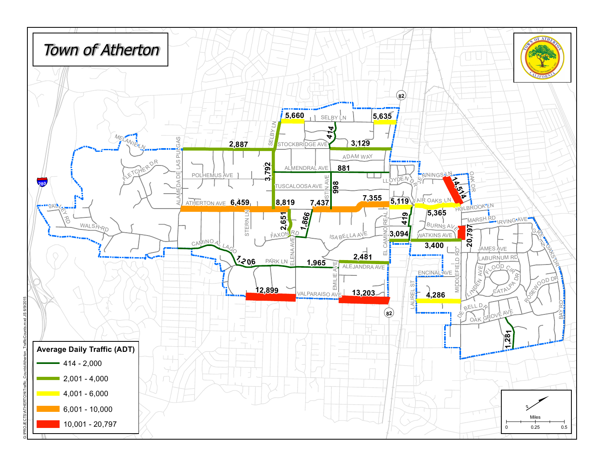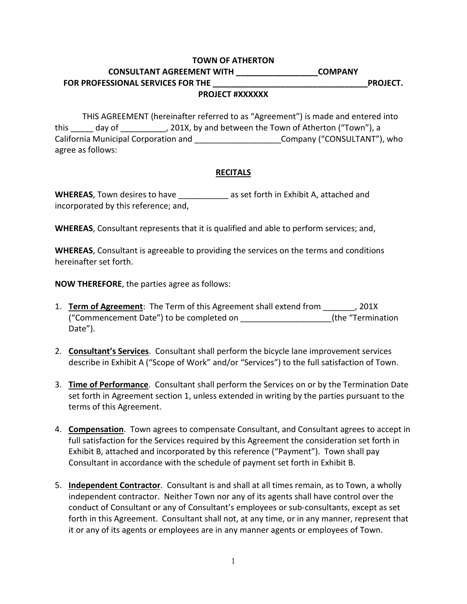#### **TOWN OF ATHERTON**

# **CONSULTANT AGREEMENT WITH \_\_\_\_\_\_\_\_\_\_\_\_\_\_\_\_\_\_COMPANY FOR PROFESSIONAL SERVICES FOR THE \_\_\_\_\_\_\_\_\_\_\_\_\_\_\_\_\_\_\_\_\_\_\_\_\_\_\_\_\_\_\_\_\_\_PROJECT.**

## **PROJECT #XXXXXX**

THIS AGREEMENT (hereinafter referred to as "Agreement") is made and entered into this day of  $\qquad \qquad$ , 201X, by and between the Town of Atherton ("Town"), a California Municipal Corporation and **Company ("CONSULTANT")**, who agree as follows:

#### **RECITALS**

**WHEREAS**, Town desires to have \_\_\_\_\_\_\_\_\_\_\_ as set forth in Exhibit A, attached and incorporated by this reference; and,

**WHEREAS**, Consultant represents that it is qualified and able to perform services; and,

**WHEREAS**, Consultant is agreeable to providing the services on the terms and conditions hereinafter set forth.

**NOW THEREFORE**, the parties agree as follows:

- 1. **Term of Agreement**: The Term of this Agreement shall extend from \_\_\_\_\_\_\_, 201X ("Commencement Date") to be completed on \_\_\_\_\_\_\_\_\_\_\_\_\_\_\_\_\_\_\_\_(the "Termination Date").
- 2. **Consultant's Services**. Consultant shall perform the bicycle lane improvement services describe in Exhibit A ("Scope of Work" and/or "Services") to the full satisfaction of Town.
- 3. **Time of Performance**. Consultant shall perform the Services on or by the Termination Date set forth in Agreement section 1, unless extended in writing by the parties pursuant to the terms of this Agreement.
- 4. **Compensation**. Town agrees to compensate Consultant, and Consultant agrees to accept in full satisfaction for the Services required by this Agreement the consideration set forth in Exhibit B, attached and incorporated by this reference ("Payment"). Town shall pay Consultant in accordance with the schedule of payment set forth in Exhibit B.
- 5. **Independent Contractor**. Consultant is and shall at all times remain, as to Town, a wholly independent contractor. Neither Town nor any of its agents shall have control over the conduct of Consultant or any of Consultant's employees or sub-consultants, except as set forth in this Agreement. Consultant shall not, at any time, or in any manner, represent that it or any of its agents or employees are in any manner agents or employees of Town.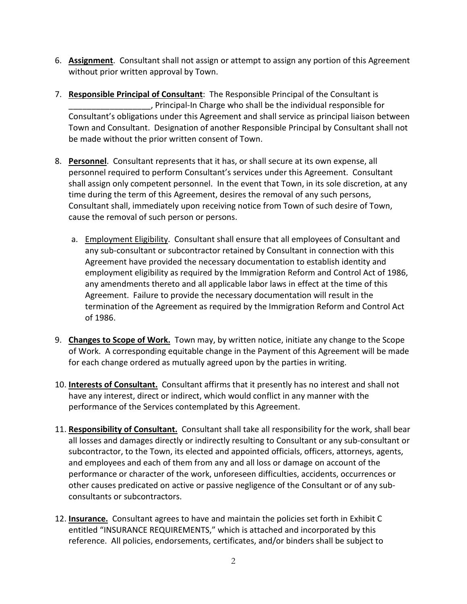- 6. **Assignment**. Consultant shall not assign or attempt to assign any portion of this Agreement without prior written approval by Town.
- 7. **Responsible Principal of Consultant**: The Responsible Principal of the Consultant is \_\_\_\_\_\_\_\_\_\_\_\_\_\_\_\_\_\_, Principal-In Charge who shall be the individual responsible for Consultant's obligations under this Agreement and shall service as principal liaison between Town and Consultant. Designation of another Responsible Principal by Consultant shall not be made without the prior written consent of Town.
- 8. **Personnel**. Consultant represents that it has, or shall secure at its own expense, all personnel required to perform Consultant's services under this Agreement. Consultant shall assign only competent personnel. In the event that Town, in its sole discretion, at any time during the term of this Agreement, desires the removal of any such persons, Consultant shall, immediately upon receiving notice from Town of such desire of Town, cause the removal of such person or persons.
	- a. Employment Eligibility. Consultant shall ensure that all employees of Consultant and any sub-consultant or subcontractor retained by Consultant in connection with this Agreement have provided the necessary documentation to establish identity and employment eligibility as required by the Immigration Reform and Control Act of 1986, any amendments thereto and all applicable labor laws in effect at the time of this Agreement. Failure to provide the necessary documentation will result in the termination of the Agreement as required by the Immigration Reform and Control Act of 1986.
- 9. **Changes to Scope of Work.** Town may, by written notice, initiate any change to the Scope of Work. A corresponding equitable change in the Payment of this Agreement will be made for each change ordered as mutually agreed upon by the parties in writing.
- 10. **Interests of Consultant.** Consultant affirms that it presently has no interest and shall not have any interest, direct or indirect, which would conflict in any manner with the performance of the Services contemplated by this Agreement.
- 11. **Responsibility of Consultant.** Consultant shall take all responsibility for the work, shall bear all losses and damages directly or indirectly resulting to Consultant or any sub-consultant or subcontractor, to the Town, its elected and appointed officials, officers, attorneys, agents, and employees and each of them from any and all loss or damage on account of the performance or character of the work, unforeseen difficulties, accidents, occurrences or other causes predicated on active or passive negligence of the Consultant or of any subconsultants or subcontractors.
- 12. **Insurance.** Consultant agrees to have and maintain the policies set forth in Exhibit C entitled "INSURANCE REQUIREMENTS," which is attached and incorporated by this reference. All policies, endorsements, certificates, and/or binders shall be subject to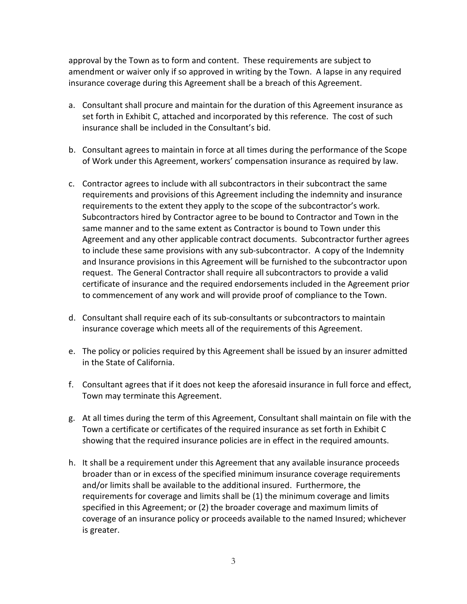approval by the Town as to form and content. These requirements are subject to amendment or waiver only if so approved in writing by the Town. A lapse in any required insurance coverage during this Agreement shall be a breach of this Agreement.

- a. Consultant shall procure and maintain for the duration of this Agreement insurance as set forth in Exhibit C, attached and incorporated by this reference. The cost of such insurance shall be included in the Consultant's bid.
- b. Consultant agrees to maintain in force at all times during the performance of the Scope of Work under this Agreement, workers' compensation insurance as required by law.
- c. Contractor agrees to include with all subcontractors in their subcontract the same requirements and provisions of this Agreement including the indemnity and insurance requirements to the extent they apply to the scope of the subcontractor's work. Subcontractors hired by Contractor agree to be bound to Contractor and Town in the same manner and to the same extent as Contractor is bound to Town under this Agreement and any other applicable contract documents. Subcontractor further agrees to include these same provisions with any sub-subcontractor. A copy of the Indemnity and Insurance provisions in this Agreement will be furnished to the subcontractor upon request. The General Contractor shall require all subcontractors to provide a valid certificate of insurance and the required endorsements included in the Agreement prior to commencement of any work and will provide proof of compliance to the Town.
- d. Consultant shall require each of its sub-consultants or subcontractors to maintain insurance coverage which meets all of the requirements of this Agreement.
- e. The policy or policies required by this Agreement shall be issued by an insurer admitted in the State of California.
- f. Consultant agrees that if it does not keep the aforesaid insurance in full force and effect, Town may terminate this Agreement.
- g. At all times during the term of this Agreement, Consultant shall maintain on file with the Town a certificate or certificates of the required insurance as set forth in Exhibit C showing that the required insurance policies are in effect in the required amounts.
- h. It shall be a requirement under this Agreement that any available insurance proceeds broader than or in excess of the specified minimum insurance coverage requirements and/or limits shall be available to the additional insured. Furthermore, the requirements for coverage and limits shall be (1) the minimum coverage and limits specified in this Agreement; or (2) the broader coverage and maximum limits of coverage of an insurance policy or proceeds available to the named Insured; whichever is greater.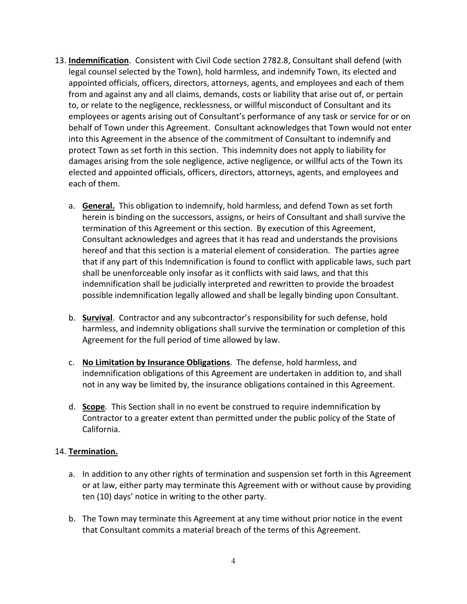- 13. **Indemnification**. Consistent with Civil Code section 2782.8, Consultant shall defend (with legal counsel selected by the Town), hold harmless, and indemnify Town, its elected and appointed officials, officers, directors, attorneys, agents, and employees and each of them from and against any and all claims, demands, costs or liability that arise out of, or pertain to, or relate to the negligence, recklessness, or willful misconduct of Consultant and its employees or agents arising out of Consultant's performance of any task or service for or on behalf of Town under this Agreement. Consultant acknowledges that Town would not enter into this Agreement in the absence of the commitment of Consultant to indemnify and protect Town as set forth in this section. This indemnity does not apply to liability for damages arising from the sole negligence, active negligence, or willful acts of the Town its elected and appointed officials, officers, directors, attorneys, agents, and employees and each of them.
	- a. **General.** This obligation to indemnify, hold harmless, and defend Town as set forth herein is binding on the successors, assigns, or heirs of Consultant and shall survive the termination of this Agreement or this section. By execution of this Agreement, Consultant acknowledges and agrees that it has read and understands the provisions hereof and that this section is a material element of consideration. The parties agree that if any part of this Indemnification is found to conflict with applicable laws, such part shall be unenforceable only insofar as it conflicts with said laws, and that this indemnification shall be judicially interpreted and rewritten to provide the broadest possible indemnification legally allowed and shall be legally binding upon Consultant.
	- b. **Survival**. Contractor and any subcontractor's responsibility for such defense, hold harmless, and indemnity obligations shall survive the termination or completion of this Agreement for the full period of time allowed by law.
	- c. **No Limitation by Insurance Obligations**. The defense, hold harmless, and indemnification obligations of this Agreement are undertaken in addition to, and shall not in any way be limited by, the insurance obligations contained in this Agreement.
	- d. **Scope**. This Section shall in no event be construed to require indemnification by Contractor to a greater extent than permitted under the public policy of the State of California.

## 14. **Termination.**

- a. In addition to any other rights of termination and suspension set forth in this Agreement or at law, either party may terminate this Agreement with or without cause by providing ten (10) days' notice in writing to the other party.
- b. The Town may terminate this Agreement at any time without prior notice in the event that Consultant commits a material breach of the terms of this Agreement.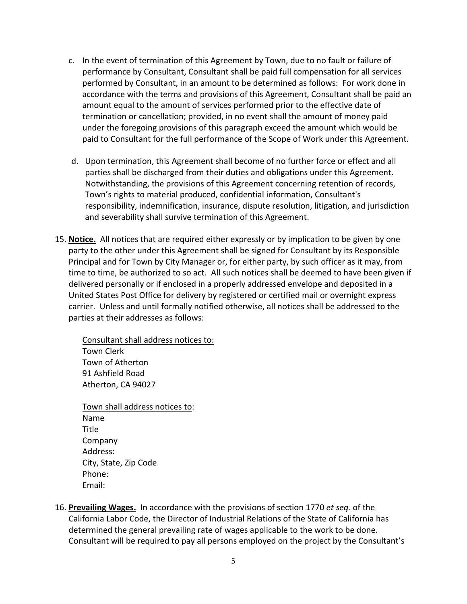- c. In the event of termination of this Agreement by Town, due to no fault or failure of performance by Consultant, Consultant shall be paid full compensation for all services performed by Consultant, in an amount to be determined as follows: For work done in accordance with the terms and provisions of this Agreement, Consultant shall be paid an amount equal to the amount of services performed prior to the effective date of termination or cancellation; provided, in no event shall the amount of money paid under the foregoing provisions of this paragraph exceed the amount which would be paid to Consultant for the full performance of the Scope of Work under this Agreement.
- d. Upon termination, this Agreement shall become of no further force or effect and all parties shall be discharged from their duties and obligations under this Agreement. Notwithstanding, the provisions of this Agreement concerning retention of records, Town's rights to material produced, confidential information, Consultant's responsibility, indemnification, insurance, dispute resolution, litigation, and jurisdiction and severability shall survive termination of this Agreement.
- 15. **Notice.** All notices that are required either expressly or by implication to be given by one party to the other under this Agreement shall be signed for Consultant by its Responsible Principal and for Town by City Manager or, for either party, by such officer as it may, from time to time, be authorized to so act. All such notices shall be deemed to have been given if delivered personally or if enclosed in a properly addressed envelope and deposited in a United States Post Office for delivery by registered or certified mail or overnight express carrier. Unless and until formally notified otherwise, all notices shall be addressed to the parties at their addresses as follows:

Consultant shall address notices to: Town Clerk Town of Atherton 91 Ashfield Road Atherton, CA 94027

Town shall address notices to: Name Title Company Address: City, State, Zip Code Phone: Email:

16. **Prevailing Wages.** In accordance with the provisions of section 1770 *et seq.* of the California Labor Code, the Director of Industrial Relations of the State of California has determined the general prevailing rate of wages applicable to the work to be done. Consultant will be required to pay all persons employed on the project by the Consultant's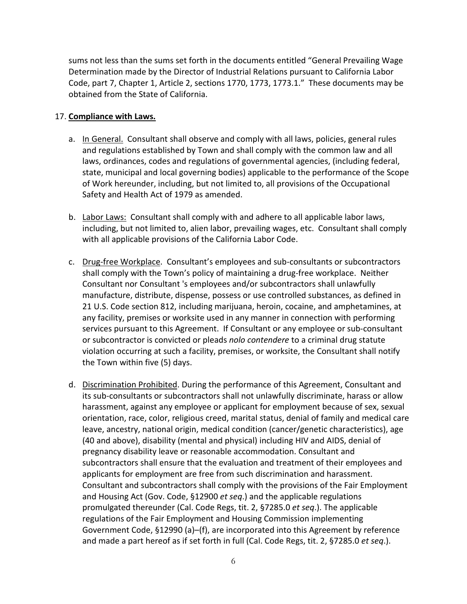sums not less than the sums set forth in the documents entitled "General Prevailing Wage Determination made by the Director of Industrial Relations pursuant to California Labor Code, part 7, Chapter 1, Article 2, sections 1770, 1773, 1773.1." These documents may be obtained from the State of California.

## 17. **Compliance with Laws.**

- a. In General. Consultant shall observe and comply with all laws, policies, general rules and regulations established by Town and shall comply with the common law and all laws, ordinances, codes and regulations of governmental agencies, (including federal, state, municipal and local governing bodies) applicable to the performance of the Scope of Work hereunder, including, but not limited to, all provisions of the Occupational Safety and Health Act of 1979 as amended.
- b. Labor Laws: Consultant shall comply with and adhere to all applicable labor laws, including, but not limited to, alien labor, prevailing wages, etc. Consultant shall comply with all applicable provisions of the California Labor Code.
- c. Drug-free Workplace. Consultant's employees and sub-consultants or subcontractors shall comply with the Town's policy of maintaining a drug-free workplace. Neither Consultant nor Consultant 's employees and/or subcontractors shall unlawfully manufacture, distribute, dispense, possess or use controlled substances, as defined in 21 U.S. Code section 812, including marijuana, heroin, cocaine, and amphetamines, at any facility, premises or worksite used in any manner in connection with performing services pursuant to this Agreement. If Consultant or any employee or sub-consultant or subcontractor is convicted or pleads *nolo contendere* to a criminal drug statute violation occurring at such a facility, premises, or worksite, the Consultant shall notify the Town within five (5) days.
- d. Discrimination Prohibited. During the performance of this Agreement, Consultant and its sub-consultants or subcontractors shall not unlawfully discriminate, harass or allow harassment, against any employee or applicant for employment because of sex, sexual orientation, race, color, religious creed, marital status, denial of family and medical care leave, ancestry, national origin, medical condition (cancer/genetic characteristics), age (40 and above), disability (mental and physical) including HIV and AIDS, denial of pregnancy disability leave or reasonable accommodation. Consultant and subcontractors shall ensure that the evaluation and treatment of their employees and applicants for employment are free from such discrimination and harassment. Consultant and subcontractors shall comply with the provisions of the Fair Employment and Housing Act (Gov. Code, §12900 *et seq*.) and the applicable regulations promulgated thereunder (Cal. Code Regs, tit. 2, §7285.0 *et seq*.). The applicable regulations of the Fair Employment and Housing Commission implementing Government Code, §12990 (a)–(f), are incorporated into this Agreement by reference and made a part hereof as if set forth in full (Cal. Code Regs, tit. 2, §7285.0 *et seq*.).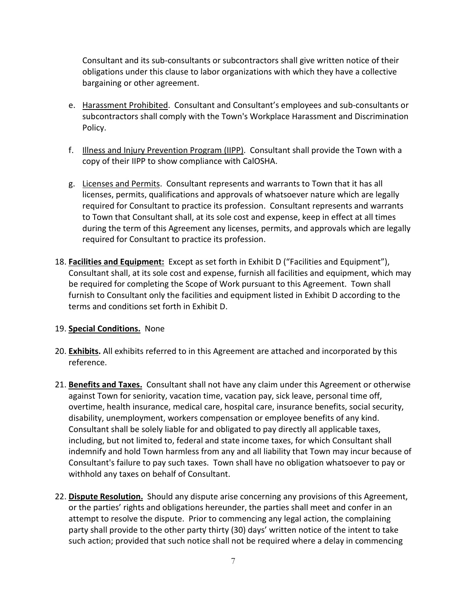Consultant and its sub-consultants or subcontractors shall give written notice of their obligations under this clause to labor organizations with which they have a collective bargaining or other agreement.

- e. Harassment Prohibited. Consultant and Consultant's employees and sub-consultants or subcontractors shall comply with the Town's Workplace Harassment and Discrimination Policy.
- f. Illness and Injury Prevention Program (IIPP). Consultant shall provide the Town with a copy of their IIPP to show compliance with CalOSHA.
- g. Licenses and Permits. Consultant represents and warrants to Town that it has all licenses, permits, qualifications and approvals of whatsoever nature which are legally required for Consultant to practice its profession. Consultant represents and warrants to Town that Consultant shall, at its sole cost and expense, keep in effect at all times during the term of this Agreement any licenses, permits, and approvals which are legally required for Consultant to practice its profession.
- 18. **Facilities and Equipment:** Except as set forth in Exhibit D ("Facilities and Equipment"), Consultant shall, at its sole cost and expense, furnish all facilities and equipment, which may be required for completing the Scope of Work pursuant to this Agreement. Town shall furnish to Consultant only the facilities and equipment listed in Exhibit D according to the terms and conditions set forth in Exhibit D.

## 19. **Special Conditions.** None

- 20. **Exhibits.** All exhibits referred to in this Agreement are attached and incorporated by this reference.
- 21. **Benefits and Taxes.** Consultant shall not have any claim under this Agreement or otherwise against Town for seniority, vacation time, vacation pay, sick leave, personal time off, overtime, health insurance, medical care, hospital care, insurance benefits, social security, disability, unemployment, workers compensation or employee benefits of any kind. Consultant shall be solely liable for and obligated to pay directly all applicable taxes, including, but not limited to, federal and state income taxes, for which Consultant shall indemnify and hold Town harmless from any and all liability that Town may incur because of Consultant's failure to pay such taxes. Town shall have no obligation whatsoever to pay or withhold any taxes on behalf of Consultant.
- 22. **Dispute Resolution.** Should any dispute arise concerning any provisions of this Agreement, or the parties' rights and obligations hereunder, the parties shall meet and confer in an attempt to resolve the dispute. Prior to commencing any legal action, the complaining party shall provide to the other party thirty (30) days' written notice of the intent to take such action; provided that such notice shall not be required where a delay in commencing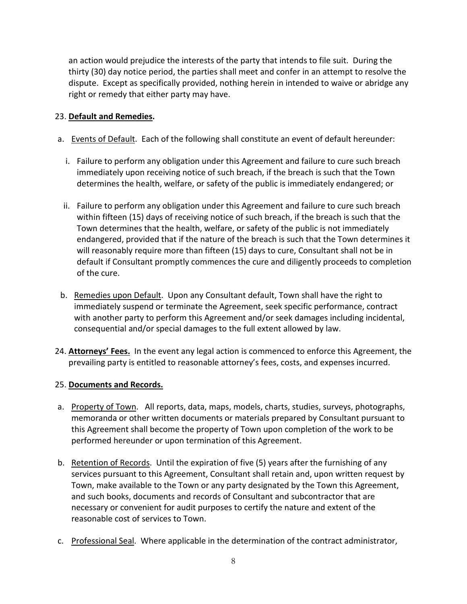an action would prejudice the interests of the party that intends to file suit. During the thirty (30) day notice period, the parties shall meet and confer in an attempt to resolve the dispute. Except as specifically provided, nothing herein in intended to waive or abridge any right or remedy that either party may have.

## 23. **Default and Remedies.**

- a. Events of Default. Each of the following shall constitute an event of default hereunder:
	- i. Failure to perform any obligation under this Agreement and failure to cure such breach immediately upon receiving notice of such breach, if the breach is such that the Town determines the health, welfare, or safety of the public is immediately endangered; or
	- ii. Failure to perform any obligation under this Agreement and failure to cure such breach within fifteen (15) days of receiving notice of such breach, if the breach is such that the Town determines that the health, welfare, or safety of the public is not immediately endangered, provided that if the nature of the breach is such that the Town determines it will reasonably require more than fifteen (15) days to cure, Consultant shall not be in default if Consultant promptly commences the cure and diligently proceeds to completion of the cure.
- b. Remedies upon Default. Upon any Consultant default, Town shall have the right to immediately suspend or terminate the Agreement, seek specific performance, contract with another party to perform this Agreement and/or seek damages including incidental, consequential and/or special damages to the full extent allowed by law.
- 24. **Attorneys' Fees.** In the event any legal action is commenced to enforce this Agreement, the prevailing party is entitled to reasonable attorney's fees, costs, and expenses incurred.

## 25. **Documents and Records.**

- a. Property of Town. All reports, data, maps, models, charts, studies, surveys, photographs, memoranda or other written documents or materials prepared by Consultant pursuant to this Agreement shall become the property of Town upon completion of the work to be performed hereunder or upon termination of this Agreement.
- b. Retention of Records. Until the expiration of five (5) years after the furnishing of any services pursuant to this Agreement, Consultant shall retain and, upon written request by Town, make available to the Town or any party designated by the Town this Agreement, and such books, documents and records of Consultant and subcontractor that are necessary or convenient for audit purposes to certify the nature and extent of the reasonable cost of services to Town.
- c. Professional Seal. Where applicable in the determination of the contract administrator,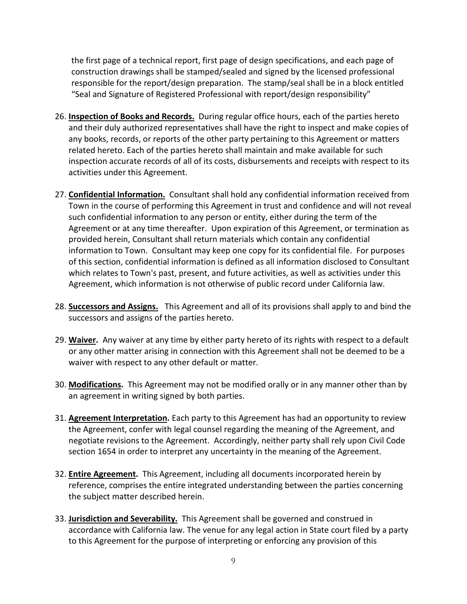the first page of a technical report, first page of design specifications, and each page of construction drawings shall be stamped/sealed and signed by the licensed professional responsible for the report/design preparation. The stamp/seal shall be in a block entitled "Seal and Signature of Registered Professional with report/design responsibility"

- 26. **Inspection of Books and Records.** During regular office hours, each of the parties hereto and their duly authorized representatives shall have the right to inspect and make copies of any books, records, or reports of the other party pertaining to this Agreement or matters related hereto. Each of the parties hereto shall maintain and make available for such inspection accurate records of all of its costs, disbursements and receipts with respect to its activities under this Agreement.
- 27. **Confidential Information.** Consultant shall hold any confidential information received from Town in the course of performing this Agreement in trust and confidence and will not reveal such confidential information to any person or entity, either during the term of the Agreement or at any time thereafter. Upon expiration of this Agreement, or termination as provided herein, Consultant shall return materials which contain any confidential information to Town. Consultant may keep one copy for its confidential file. For purposes of this section, confidential information is defined as all information disclosed to Consultant which relates to Town's past, present, and future activities, as well as activities under this Agreement, which information is not otherwise of public record under California law.
- 28. **Successors and Assigns.** This Agreement and all of its provisions shall apply to and bind the successors and assigns of the parties hereto.
- 29. **Waiver.** Any waiver at any time by either party hereto of its rights with respect to a default or any other matter arising in connection with this Agreement shall not be deemed to be a waiver with respect to any other default or matter.
- 30. **Modifications.** This Agreement may not be modified orally or in any manner other than by an agreement in writing signed by both parties.
- 31. **Agreement Interpretation.** Each party to this Agreement has had an opportunity to review the Agreement, confer with legal counsel regarding the meaning of the Agreement, and negotiate revisions to the Agreement. Accordingly, neither party shall rely upon Civil Code section 1654 in order to interpret any uncertainty in the meaning of the Agreement.
- 32. **Entire Agreement.** This Agreement, including all documents incorporated herein by reference, comprises the entire integrated understanding between the parties concerning the subject matter described herein.
- 33. **Jurisdiction and Severability.** This Agreement shall be governed and construed in accordance with California law. The venue for any legal action in State court filed by a party to this Agreement for the purpose of interpreting or enforcing any provision of this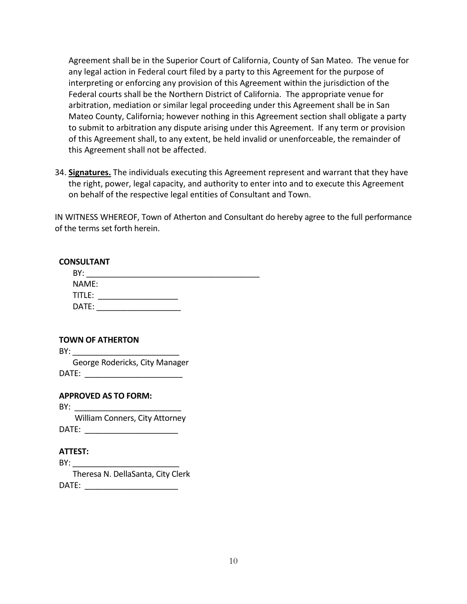Agreement shall be in the Superior Court of California, County of San Mateo. The venue for any legal action in Federal court filed by a party to this Agreement for the purpose of interpreting or enforcing any provision of this Agreement within the jurisdiction of the Federal courts shall be the Northern District of California. The appropriate venue for arbitration, mediation or similar legal proceeding under this Agreement shall be in San Mateo County, California; however nothing in this Agreement section shall obligate a party to submit to arbitration any dispute arising under this Agreement. If any term or provision of this Agreement shall, to any extent, be held invalid or unenforceable, the remainder of this Agreement shall not be affected.

34. **Signatures.** The individuals executing this Agreement represent and warrant that they have the right, power, legal capacity, and authority to enter into and to execute this Agreement on behalf of the respective legal entities of Consultant and Town.

IN WITNESS WHEREOF, Town of Atherton and Consultant do hereby agree to the full performance of the terms set forth herein.

#### **CONSULTANT**

| BY:    |  |  |
|--------|--|--|
| NAME:  |  |  |
| TITLE: |  |  |
| DATE:  |  |  |

| <b>TOWN OF ATHERTON</b> |                                |  |  |
|-------------------------|--------------------------------|--|--|
| BY:                     |                                |  |  |
|                         | George Rodericks, City Manager |  |  |
| DATE:                   |                                |  |  |
|                         |                                |  |  |

**APPROVED AS TO FORM:**

BY: William Conners, City Attorney DATE: \_\_\_\_\_\_\_\_\_\_\_\_\_\_\_\_\_\_\_\_\_

## **ATTEST:**

 $BY:$  Theresa N. DellaSanta, City Clerk DATE: \_\_\_\_\_\_\_\_\_\_\_\_\_\_\_\_\_\_\_\_\_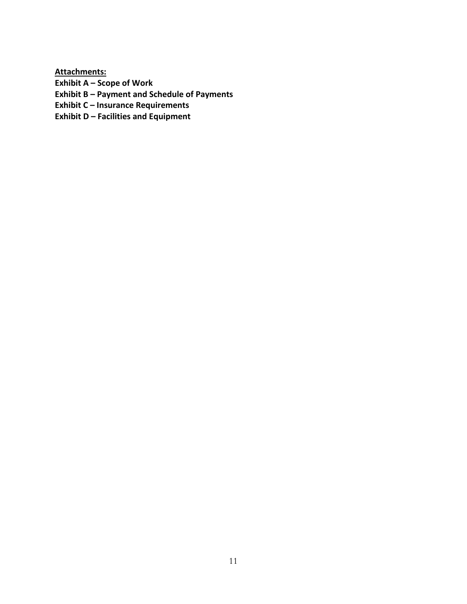**Attachments: Exhibit A – Scope of Work Exhibit B – Payment and Schedule of Payments Exhibit C – Insurance Requirements Exhibit D – Facilities and Equipment**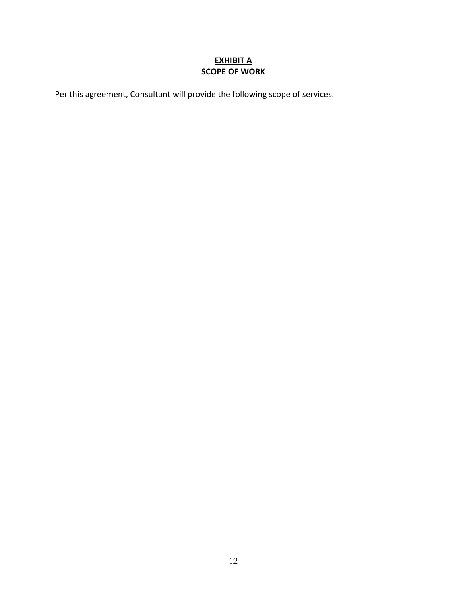## **EXHIBIT A SCOPE OF WORK**

Per this agreement, Consultant will provide the following scope of services.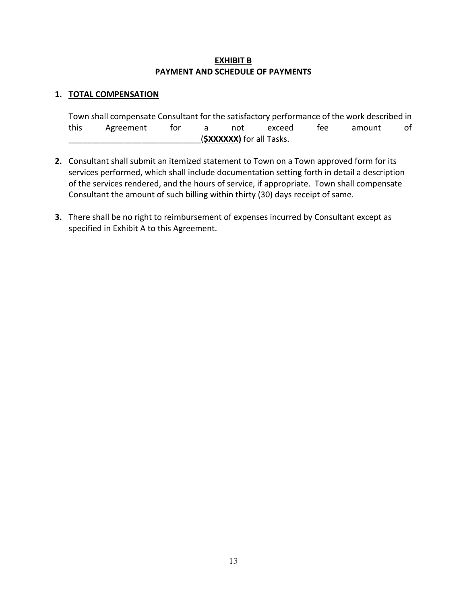## **EXHIBIT B PAYMENT AND SCHEDULE OF PAYMENTS**

## **1. TOTAL COMPENSATION**

|                          | Town shall compensate Consultant for the satisfactory performance of the work described in |     |  |     |        |      |        |    |
|--------------------------|--------------------------------------------------------------------------------------------|-----|--|-----|--------|------|--------|----|
| this                     | Agreement                                                                                  | tor |  | not | exceed | tee. | amount | of |
| (SXXXXXX) for all Tasks. |                                                                                            |     |  |     |        |      |        |    |

- **2.** Consultant shall submit an itemized statement to Town on a Town approved form for its services performed, which shall include documentation setting forth in detail a description of the services rendered, and the hours of service, if appropriate. Town shall compensate Consultant the amount of such billing within thirty (30) days receipt of same.
- **3.** There shall be no right to reimbursement of expenses incurred by Consultant except as specified in Exhibit A to this Agreement.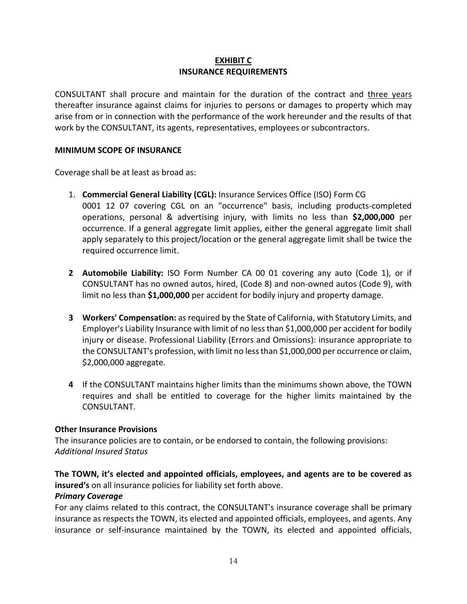## **EXHIBIT C INSURANCE REQUIREMENTS**

CONSULTANT shall procure and maintain for the duration of the contract and three years thereafter insurance against claims for injuries to persons or damages to property which may arise from or in connection with the performance of the work hereunder and the results of that work by the CONSULTANT, its agents, representatives, employees or subcontractors.

## **MINIMUM SCOPE OF INSURANCE**

Coverage shall be at least as broad as:

- 1. **Commercial General Liability (CGL):** Insurance Services Office (ISO) Form CG 0001 12 07 covering CGL on an "occurrence" basis, including products-completed operations, personal & advertising injury, with limits no less than **\$2,000,000** per occurrence. If a general aggregate limit applies, either the general aggregate limit shall apply separately to this project/location or the general aggregate limit shall be twice the required occurrence limit.
- **2 Automobile Liability:** ISO Form Number CA 00 01 covering any auto (Code 1), or if CONSULTANT has no owned autos, hired, (Code 8) and non-owned autos (Code 9), with limit no less than **\$1,000,000** per accident for bodily injury and property damage.
- **3 Workers' Compensation:** as required by the State of California, with Statutory Limits, and Employer's Liability Insurance with limit of no less than \$1,000,000 per accident for bodily injury or disease. Professional Liability (Errors and Omissions): insurance appropriate to the CONSULTANT's profession, with limit no less than \$1,000,000 per occurrence or claim, \$2,000,000 aggregate.
- **4** If the CONSULTANT maintains higher limits than the minimums shown above, the TOWN requires and shall be entitled to coverage for the higher limits maintained by the CONSULTANT.

## **Other Insurance Provisions**

The insurance policies are to contain, or be endorsed to contain, the following provisions: *Additional Insured Status*

## **The TOWN, it's elected and appointed officials, employees, and agents are to be covered as insured's** on all insurance policies for liability set forth above.

## *Primary Coverage*

For any claims related to this contract, the CONSULTANT's insurance coverage shall be primary insurance as respects the TOWN, its elected and appointed officials, employees, and agents. Any insurance or self-insurance maintained by the TOWN, its elected and appointed officials,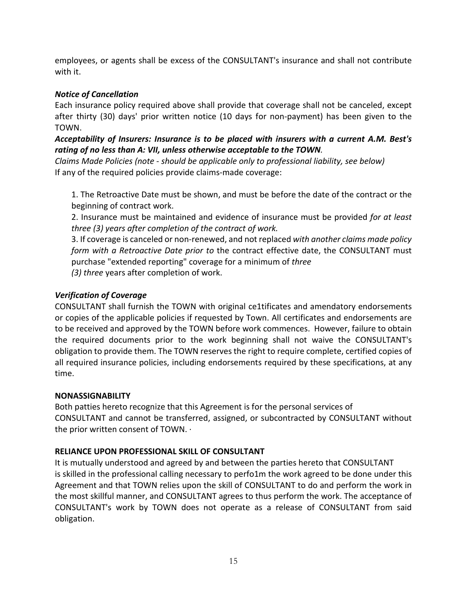employees, or agents shall be excess of the CONSULTANT's insurance and shall not contribute with it.

## *Notice of Cancellation*

Each insurance policy required above shall provide that coverage shall not be canceled, except after thirty (30) days' prior written notice (10 days for non-payment) has been given to the TOWN.

*Acceptability of Insurers: Insurance is to be placed with insurers with a current A.M. Best's rating of no less than A: VII, unless otherwise acceptable to the TOWN.*

*Claims Made Policies (note* - *should be applicable only to professional liability, see below)* If any of the required policies provide claims-made coverage:

1. The Retroactive Date must be shown, and must be before the date of the contract or the beginning of contract work.

2. Insurance must be maintained and evidence of insurance must be provided *for at least three (3) years after completion of the contract of work.*

3. If coverage is canceled or non-renewed, and not replaced *with another claims made policy form with a Retroactive Date prior to* the contract effective date, the CONSULTANT must purchase "extended reporting" coverage for a minimum of *three*

*(3) three* years after completion of work.

## *Verification of Coverage*

CONSULTANT shall furnish the TOWN with original ce1tificates and amendatory endorsements or copies of the applicable policies if requested by Town. All certificates and endorsements are to be received and approved by the TOWN before work commences. However, failure to obtain the required documents prior to the work beginning shall not waive the CONSULTANT's obligation to provide them. The TOWN reserves the right to require complete, certified copies of all required insurance policies, including endorsements required by these specifications, at any time.

## **NONASSIGNABILITY**

Both patties hereto recognize that this Agreement is for the personal services of CONSULTANT and cannot be transferred, assigned, or subcontracted by CONSULTANT without the prior written consent of TOWN. ·

## **RELIANCE UPON PROFESSIONAL SKILL OF CONSULTANT**

It is mutually understood and agreed by and between the parties hereto that CONSULTANT is skilled in the professional calling necessary to perfo1m the work agreed to be done under this Agreement and that TOWN relies upon the skill of CONSULTANT to do and perform the work in the most skillful manner, and CONSULTANT agrees to thus perform the work. The acceptance of CONSULTANT's work by TOWN does not operate as a release of CONSULTANT from said obligation.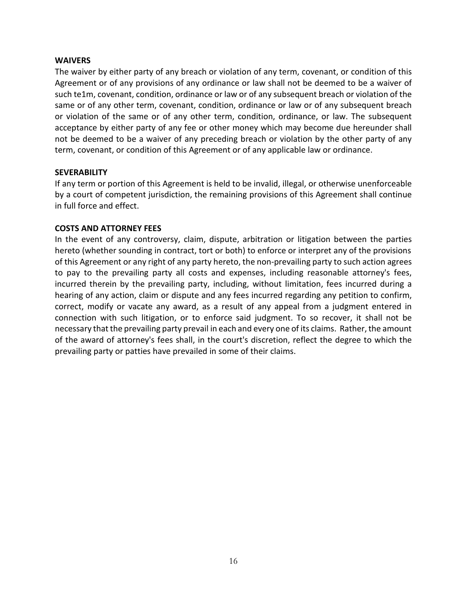#### **WAIVERS**

The waiver by either party of any breach or violation of any term, covenant, or condition of this Agreement or of any provisions of any ordinance or law shall not be deemed to be a waiver of such te1m, covenant, condition, ordinance or law or of any subsequent breach or violation of the same or of any other term, covenant, condition, ordinance or law or of any subsequent breach or violation of the same or of any other term, condition, ordinance, or law. The subsequent acceptance by either party of any fee or other money which may become due hereunder shall not be deemed to be a waiver of any preceding breach or violation by the other party of any term, covenant, or condition of this Agreement or of any applicable law or ordinance.

#### **SEVERABILITY**

If any term or portion of this Agreement is held to be invalid, illegal, or otherwise unenforceable by a court of competent jurisdiction, the remaining provisions of this Agreement shall continue in full force and effect.

#### **COSTS AND ATTORNEY FEES**

In the event of any controversy, claim, dispute, arbitration or litigation between the parties hereto (whether sounding in contract, tort or both) to enforce or interpret any of the provisions of this Agreement or any right of any party hereto, the non-prevailing party to such action agrees to pay to the prevailing party all costs and expenses, including reasonable attorney's fees, incurred therein by the prevailing party, including, without limitation, fees incurred during a hearing of any action, claim or dispute and any fees incurred regarding any petition to confirm, correct, modify or vacate any award, as a result of any appeal from a judgment entered in connection with such litigation, or to enforce said judgment. To so recover, it shall not be necessary that the prevailing party prevail in each and every one of its claims. Rather, the amount of the award of attorney's fees shall, in the court's discretion, reflect the degree to which the prevailing party or patties have prevailed in some of their claims.